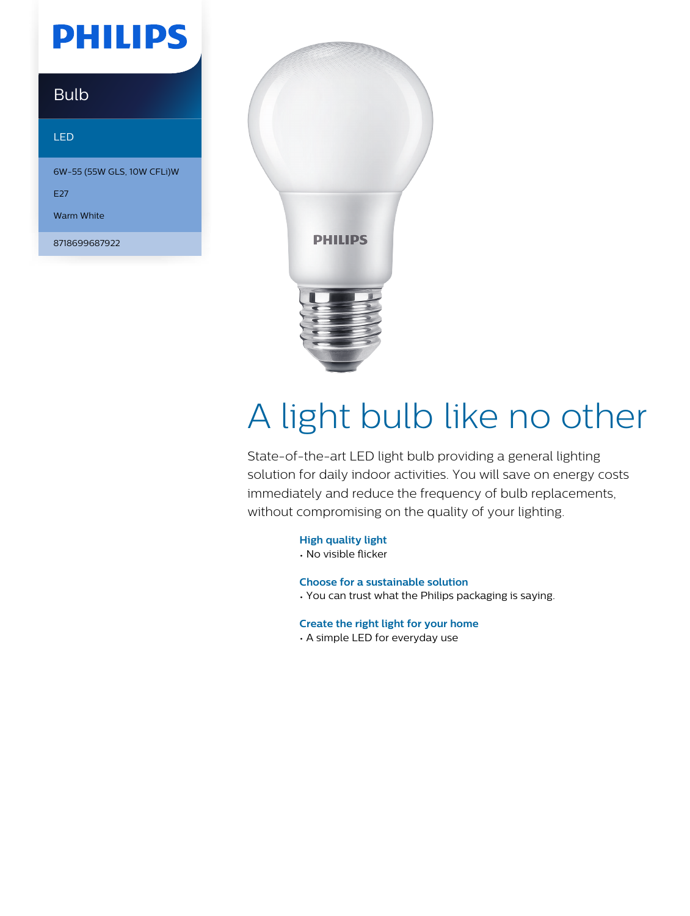## **PHILIPS**

### Bulb

#### LED

6W-55 (55W GLS, 10W CFLi)W

E<sub>27</sub>

Warm White

8718699687922



# A light bulb like no other

State-of-the-art LED light bulb providing a general lighting solution for daily indoor activities. You will save on energy costs immediately and reduce the frequency of bulb replacements, without compromising on the quality of your lighting.

**High quality light**

• No visible flicker

**Choose for a sustainable solution**

• You can trust what the Philips packaging is saying.

**Create the right light for your home**

• A simple LED for everyday use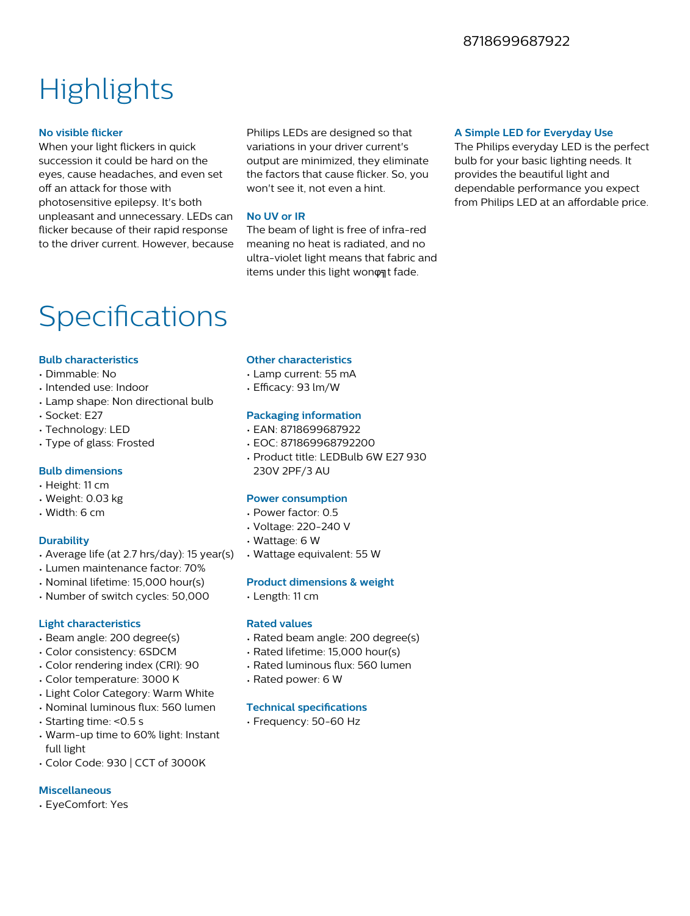#### 8718699687922

### **Highlights**

#### **No visible flicker**

When your light flickers in quick succession it could be hard on the eyes, cause headaches, and even set off an attack for those with photosensitive epilepsy. It's both unpleasant and unnecessary. LEDs can flicker because of their rapid response to the driver current. However, because

Philips LEDs are designed so that variations in your driver current's output are minimized, they eliminate the factors that cause flicker. So, you won't see it, not even a hint.

#### **No UV or IR**

The beam of light is free of infra-red meaning no heat is radiated, and no ultra-violet light means that fabric and items under this light wonφηt fade.

#### **A Simple LED for Everyday Use**

The Philips everyday LED is the perfect bulb for your basic lighting needs. It provides the beautiful light and dependable performance you expect from Philips LED at an affordable price.

### Specifications

#### **Bulb characteristics**

- Dimmable: No
- Intended use: Indoor
- Lamp shape: Non directional bulb
- Socket: E27
- Technology: LED
- Type of glass: Frosted

#### **Bulb dimensions**

- Height: 11 cm
- Weight: 0.03 kg
- Width: 6 cm

#### **Durability**

- Average life (at 2.7 hrs/day): 15 year(s)
- Lumen maintenance factor: 70%
- Nominal lifetime: 15,000 hour(s)
- Number of switch cycles: 50,000

#### **Light characteristics**

- Beam angle: 200 degree(s)
- Color consistency: 6SDCM
- Color rendering index (CRI): 90
- Color temperature: 3000 K
- Light Color Category: Warm White
- Nominal luminous flux: 560 lumen
- Starting time: <0.5 s
- Warm-up time to 60% light: Instant full light
- Color Code: 930 | CCT of 3000K

#### **Miscellaneous**

• EyeComfort: Yes

#### **Other characteristics**

- Lamp current: 55 mA
- Efficacy: 93 lm/W

#### **Packaging information**

- EAN: 8718699687922
- EOC: 871869968792200
- Product title: LEDBulb 6W E27 930 230V 2PF/3 AU

#### **Power consumption**

- Power factor: 0.5
- Voltage: 220-240 V
- Wattage: 6 W
- Wattage equivalent: 55 W

#### **Product dimensions & weight**

• Length: 11 cm

#### **Rated values**

- Rated beam angle: 200 degree(s)
- Rated lifetime: 15,000 hour(s)
- Rated luminous flux: 560 lumen
- Rated power: 6 W

#### **Technical specifications**

• Frequency: 50-60 Hz